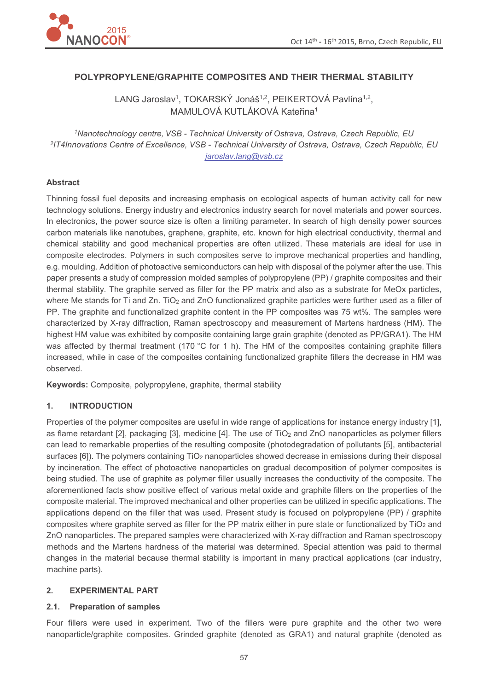

# **POLYPROPYLENE/GRAPHITE COMPOSITES AND THEIR THERMAL STABILITY**

LANG Jaroslav<sup>1</sup>, TOKARSKÝ Jonáš<sup>1,2</sup>, PEIKERTOVÁ Pavlína<sup>1,2</sup>, MAMULOVÁ KUTLÁKOVÁ Kateřina<sup>1</sup>

*<sup>1</sup>Nanotechnology centre, VSB - Technical University of Ostrava, Ostrava, Czech Republic, EU 2 IT4Innovations Centre of Excellence, VSB - Technical University of Ostrava, Ostrava, Czech Republic, EU jaroslav.lang@vsb.cz* 

### **Abstract**

Thinning fossil fuel deposits and increasing emphasis on ecological aspects of human activity call for new technology solutions. Energy industry and electronics industry search for novel materials and power sources. In electronics, the power source size is often a limiting parameter. In search of high density power sources carbon materials like nanotubes, graphene, graphite, etc. known for high electrical conductivity, thermal and chemical stability and good mechanical properties are often utilized. These materials are ideal for use in composite electrodes. Polymers in such composites serve to improve mechanical properties and handling, e.g. moulding. Addition of photoactive semiconductors can help with disposal of the polymer after the use. This paper presents a study of compression molded samples of polypropylene (PP) / graphite composites and their thermal stability. The graphite served as filler for the PP matrix and also as a substrate for MeOx particles, where Me stands for Ti and Zn. TiO<sub>2</sub> and ZnO functionalized graphite particles were further used as a filler of PP. The graphite and functionalized graphite content in the PP composites was 75 wt%. The samples were characterized by X-ray diffraction, Raman spectroscopy and measurement of Martens hardness (HM). The highest HM value was exhibited by composite containing large grain graphite (denoted as PP/GRA1). The HM was affected by thermal treatment (170 °C for 1 h). The HM of the composites containing graphite fillers increased, while in case of the composites containing functionalized graphite fillers the decrease in HM was observed.

**Keywords:** Composite, polypropylene, graphite, thermal stability

### **1. INTRODUCTION**

Properties of the polymer composites are useful in wide range of applications for instance energy industry [1], as flame retardant [2], packaging [3], medicine [4]. The use of TiO<sub>2</sub> and ZnO nanoparticles as polymer fillers can lead to remarkable properties of the resulting composite (photodegradation of pollutants [5], antibacterial surfaces [6]). The polymers containing TiO<sub>2</sub> nanoparticles showed decrease in emissions during their disposal by incineration. The effect of photoactive nanoparticles on gradual decomposition of polymer composites is being studied. The use of graphite as polymer filler usually increases the conductivity of the composite. The aforementioned facts show positive effect of various metal oxide and graphite fillers on the properties of the composite material. The improved mechanical and other properties can be utilized in specific applications. The applications depend on the filler that was used. Present study is focused on polypropylene (PP) / graphite composites where graphite served as filler for the PP matrix either in pure state or functionalized by TiO<sub>2</sub> and ZnO nanoparticles. The prepared samples were characterized with X-ray diffraction and Raman spectroscopy methods and the Martens hardness of the material was determined. Special attention was paid to thermal changes in the material because thermal stability is important in many practical applications (car industry, machine parts).

### **2. EXPERIMENTAL PART**

### **2.1. Preparation of samples**

Four fillers were used in experiment. Two of the fillers were pure graphite and the other two were nanoparticle/graphite composites. Grinded graphite (denoted as GRA1) and natural graphite (denoted as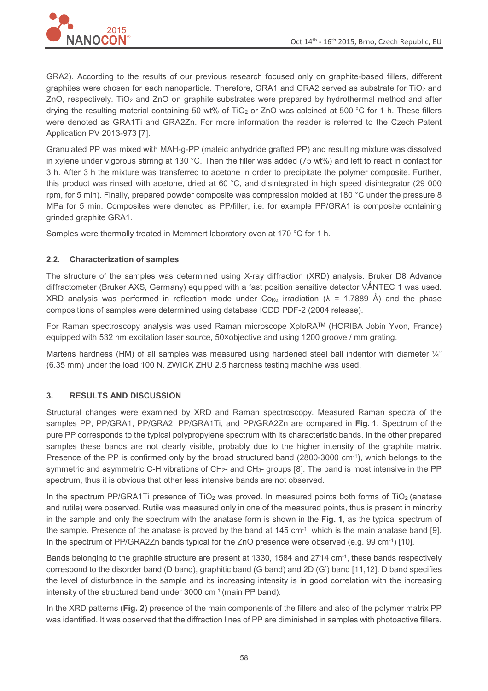

GRA2). According to the results of our previous research focused only on graphite-based fillers, different graphites were chosen for each nanoparticle. Therefore, GRA1 and GRA2 served as substrate for  $TiO<sub>2</sub>$  and ZnO, respectively. TiO<sub>2</sub> and ZnO on graphite substrates were prepared by hydrothermal method and after drying the resulting material containing 50 wt% of TiO<sub>2</sub> or ZnO was calcined at 500 °C for 1 h. These fillers were denoted as GRA1Ti and GRA2Zn. For more information the reader is referred to the Czech Patent Application PV 2013-973 [7].

Granulated PP was mixed with MAH-g-PP (maleic anhydride grafted PP) and resulting mixture was dissolved in xylene under vigorous stirring at 130 °C. Then the filler was added (75 wt%) and left to react in contact for 3 h. After 3 h the mixture was transferred to acetone in order to precipitate the polymer composite. Further, this product was rinsed with acetone, dried at 60 °C, and disintegrated in high speed disintegrator (29 000 rpm, for 5 min). Finally, prepared powder composite was compression molded at 180 °C under the pressure 8 MPa for 5 min. Composites were denoted as PP/filler, i.e. for example PP/GRA1 is composite containing grinded graphite GRA1.

Samples were thermally treated in Memmert laboratory oven at 170 °C for 1 h.

## **2.2. Characterization of samples**

The structure of the samples was determined using X-ray diffraction (XRD) analysis. Bruker D8 Advance diffractometer (Bruker AXS, Germany) equipped with a fast position sensitive detector VÅNTEC 1 was used. XRD analysis was performed in reflection mode under Co<sub>Kα</sub> irradiation ( $\lambda$  = 1.7889 Å) and the phase compositions of samples were determined using database ICDD PDF-2 (2004 release).

For Raman spectroscopy analysis was used Raman microscope XploRATM (HORIBA Jobin Yvon, France) equipped with 532 nm excitation laser source, 50×objective and using 1200 groove / mm grating.

Martens hardness (HM) of all samples was measured using hardened steel ball indentor with diameter  $\frac{1}{4}$ " (6.35 mm) under the load 100 N. ZWICK ZHU 2.5 hardness testing machine was used.

## **3. RESULTS AND DISCUSSION**

Structural changes were examined by XRD and Raman spectroscopy. Measured Raman spectra of the samples PP, PP/GRA1, PP/GRA2, PP/GRA1Ti, and PP/GRA2Zn are compared in **Fig. 1**. Spectrum of the pure PP corresponds to the typical polypropylene spectrum with its characteristic bands. In the other prepared samples these bands are not clearly visible, probably due to the higher intensity of the graphite matrix. Presence of the PP is confirmed only by the broad structured band (2800-3000 cm<sup>-1</sup>), which belongs to the symmetric and asymmetric C-H vibrations of CH<sub>2</sub>- and CH<sub>3</sub>- groups [8]. The band is most intensive in the PP spectrum, thus it is obvious that other less intensive bands are not observed.

In the spectrum PP/GRA1Ti presence of TiO<sub>2</sub> was proved. In measured points both forms of TiO<sub>2</sub> (anatase and rutile) were observed. Rutile was measured only in one of the measured points, thus is present in minority in the sample and only the spectrum with the anatase form is shown in the **Fig. 1**, as the typical spectrum of the sample. Presence of the anatase is proved by the band at 145 cm<sup>-1</sup>, which is the main anatase band [9]. In the spectrum of PP/GRA2Zn bands typical for the ZnO presence were observed (e.g. 99 cm-1) [10].

Bands belonging to the graphite structure are present at 1330, 1584 and 2714 cm-1, these bands respectively correspond to the disorder band (D band), graphitic band (G band) and 2D (G') band [11,12]. D band specifies the level of disturbance in the sample and its increasing intensity is in good correlation with the increasing intensity of the structured band under 3000 cm-1 (main PP band).

In the XRD patterns (**Fig. 2**) presence of the main components of the fillers and also of the polymer matrix PP was identified. It was observed that the diffraction lines of PP are diminished in samples with photoactive fillers.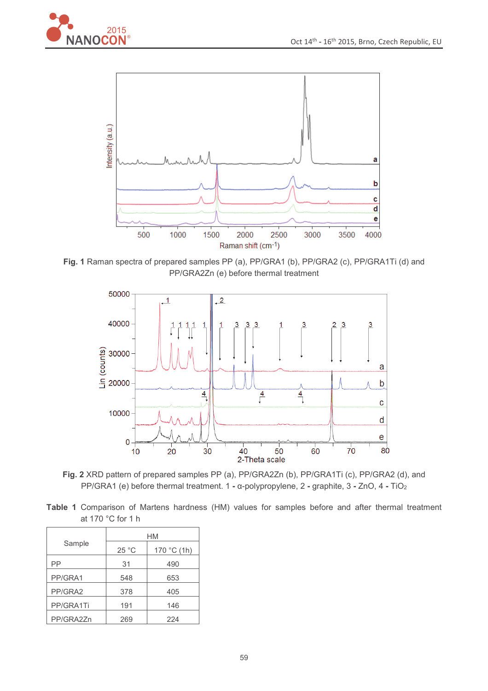



**Fig. 1** Raman spectra of prepared samples PP (a), PP/GRA1 (b), PP/GRA2 (c), PP/GRA1Ti (d) and PP/GRA2Zn (e) before thermal treatment



**Fig. 2** XRD pattern of prepared samples PP (a), PP/GRA2Zn (b), PP/GRA1Ti (c), PP/GRA2 (d), and PP/GRA1 (e) before thermal treatment. 1 - α-polypropylene, 2 - graphite, 3 - ZnO, 4 - TiO<sub>2</sub>

**Table 1** Comparison of Martens hardness (HM) values for samples before and after thermal treatment at 170 °C for 1 h

| Sample    | НM    |             |
|-----------|-------|-------------|
|           | 25 °C | 170 °C (1h) |
| РP        | 31    | 490         |
| PP/GRA1   | 548   | 653         |
| PP/GRA2   | 378   | 405         |
| PP/GRA1Ti | 191   | 146         |
| PP/GRA2Zn | 269   | 224         |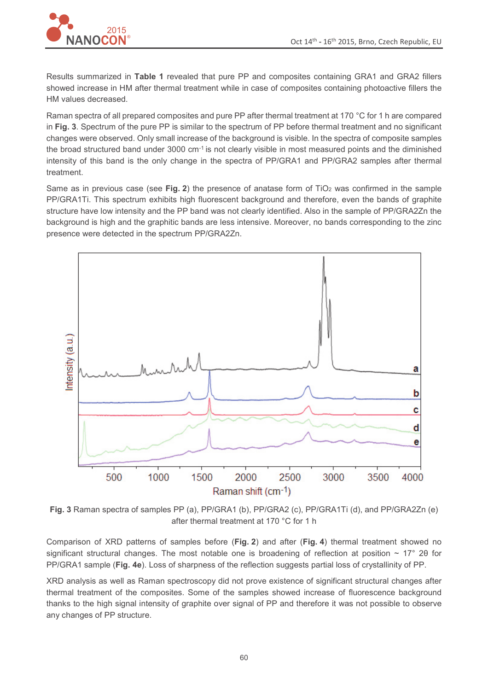

Results summarized in **Table 1** revealed that pure PP and composites containing GRA1 and GRA2 fillers showed increase in HM after thermal treatment while in case of composites containing photoactive fillers the HM values decreased.

Raman spectra of all prepared composites and pure PP after thermal treatment at 170 °C for 1 h are compared in **Fig. 3**. Spectrum of the pure PP is similar to the spectrum of PP before thermal treatment and no significant changes were observed. Only small increase of the background is visible. In the spectra of composite samples the broad structured band under 3000 cm-1 is not clearly visible in most measured points and the diminished intensity of this band is the only change in the spectra of PP/GRA1 and PP/GRA2 samples after thermal treatment.

Same as in previous case (see **Fig. 2**) the presence of anatase form of TiO<sub>2</sub> was confirmed in the sample PP/GRA1Ti. This spectrum exhibits high fluorescent background and therefore, even the bands of graphite structure have low intensity and the PP band was not clearly identified. Also in the sample of PP/GRA2Zn the background is high and the graphitic bands are less intensive. Moreover, no bands corresponding to the zinc presence were detected in the spectrum PP/GRA2Zn.



**Fig. 3** Raman spectra of samples PP (a), PP/GRA1 (b), PP/GRA2 (c), PP/GRA1Ti (d), and PP/GRA2Zn (e) after thermal treatment at 170 °C for 1 h

Comparison of XRD patterns of samples before (**Fig. 2**) and after (**Fig. 4**) thermal treatment showed no significant structural changes. The most notable one is broadening of reflection at position  $\sim 17^{\circ}$  20 for PP/GRA1 sample (**Fig. 4e**). Loss of sharpness of the reflection suggests partial loss of crystallinity of PP.

XRD analysis as well as Raman spectroscopy did not prove existence of significant structural changes after thermal treatment of the composites. Some of the samples showed increase of fluorescence background thanks to the high signal intensity of graphite over signal of PP and therefore it was not possible to observe any changes of PP structure.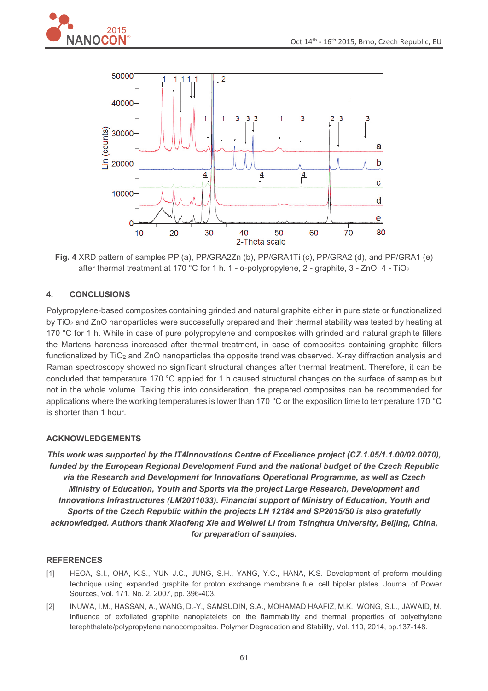



**Fig. 4** XRD pattern of samples PP (a), PP/GRA2Zn (b), PP/GRA1Ti (c), PP/GRA2 (d), and PP/GRA1 (e) after thermal treatment at 170 °C for 1 h. 1 - α-polypropylene, 2 - graphite, 3 - ZnO, 4 - TiO<sub>2</sub>

# **4. CONCLUSIONS**

Polypropylene-based composites containing grinded and natural graphite either in pure state or functionalized by TiO2 and ZnO nanoparticles were successfully prepared and their thermal stability was tested by heating at 170 °C for 1 h. While in case of pure polypropylene and composites with grinded and natural graphite fillers the Martens hardness increased after thermal treatment, in case of composites containing graphite fillers functionalized by  $TiO<sub>2</sub>$  and ZnO nanoparticles the opposite trend was observed. X-ray diffraction analysis and Raman spectroscopy showed no significant structural changes after thermal treatment. Therefore, it can be concluded that temperature 170 °C applied for 1 h caused structural changes on the surface of samples but not in the whole volume. Taking this into consideration, the prepared composites can be recommended for applications where the working temperatures is lower than 170 °C or the exposition time to temperature 170 °C is shorter than 1 hour.

## **ACKNOWLEDGEMENTS**

*This work was supported by the IT4Innovations Centre of Excellence project (CZ.1.05/1.1.00/02.0070), funded by the European Regional Development Fund and the national budget of the Czech Republic via the Research and Development for Innovations Operational Programme, as well as Czech Ministry of Education, Youth and Sports via the project Large Research, Development and Innovations Infrastructures (LM2011033). Financial support of Ministry of Education, Youth and Sports of the Czech Republic within the projects LH 12184 and SP2015/50 is also gratefully acknowledged. Authors thank Xiaofeng Xie and Weiwei Li from Tsinghua University, Beijing, China, for preparation of samples.* 

### **REFERENCES**

- [1] HEOA, S.I., OHA, K.S., YUN J.C., JUNG, S.H., YANG, Y.C., HANA, K.S. Development of preform moulding technique using expanded graphite for proton exchange membrane fuel cell bipolar plates. Journal of Power Sources, Vol. 171, No. 2, 2007, pp. 396**-**403.
- [2] INUWA, I.M., HASSAN, A., WANG, D.-Y., SAMSUDIN, S.A., MOHAMAD HAAFIZ, M.K., WONG, S.L., JAWAID, M. Influence of exfoliated graphite nanoplatelets on the flammability and thermal properties of polyethylene terephthalate/polypropylene nanocomposites. Polymer Degradation and Stability, Vol. 110, 2014, pp.137-148.